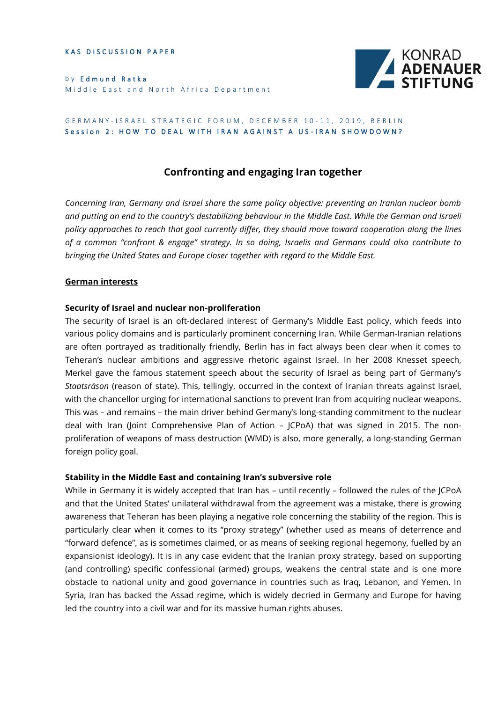KAS DISCUSSION PAPER

by Edmund Ratka Middle East and North Africa Department



#### GERMANY-ISRAEL STRATEGIC FORUM, DECEMBER 10-11, 2019, BERLIN Session 2: HOW TO DEAL WITH IRAN AGAINST A US-IRAN SHOWDOWN?

# **Confronting and engaging Iran together**

*Concerning Iran, Germany and Israel share the same policy objective: preventing an Iranian nuclear bomb and putting an end to the country's destabilizing behaviour in the Middle East. While the German and Israeli policy approaches to reach that goal currently differ, they should move toward cooperation along the lines of a common "confront & engage" strategy. In so doing, Israelis and Germans could also contribute to bringing the United States and Europe closer together with regard to the Middle East.*

#### **German interests**

#### **Security of Israel and nuclear non-proliferation**

The security of Israel is an oft-declared interest of Germany's Middle East policy, which feeds into various policy domains and is particularly prominent concerning Iran. While German-Iranian relations are often portrayed as traditionally friendly, Berlin has in fact always been clear when it comes to Teheran's nuclear ambitions and aggressive rhetoric against Israel. In her 2008 Knesset speech, Merkel gave the famous statement speech about the security of Israel as being part of Germany's *Staatsräson* (reason of state). This, tellingly, occurred in the context of Iranian threats against Israel, with the chancellor urging for international sanctions to prevent Iran from acquiring nuclear weapons. This was – and remains – the main driver behind Germany's long-standing commitment to the nuclear deal with Iran (Joint Comprehensive Plan of Action – JCPoA) that was signed in 2015. The nonproliferation of weapons of mass destruction (WMD) is also, more generally, a long-standing German foreign policy goal.

#### **Stability in the Middle East and containing Iran's subversive role**

While in Germany it is widely accepted that Iran has – until recently – followed the rules of the JCPoA and that the United States' unilateral withdrawal from the agreement was a mistake, there is growing awareness that Teheran has been playing a negative role concerning the stability of the region. This is particularly clear when it comes to its "proxy strategy" (whether used as means of deterrence and "forward defence", as is sometimes claimed, or as means of seeking regional hegemony, fuelled by an expansionist ideology). It is in any case evident that the Iranian proxy strategy, based on supporting (and controlling) specific confessional (armed) groups, weakens the central state and is one more obstacle to national unity and good governance in countries such as Iraq, Lebanon, and Yemen. In Syria, Iran has backed the Assad regime, which is widely decried in Germany and Europe for having led the country into a civil war and for its massive human rights abuses.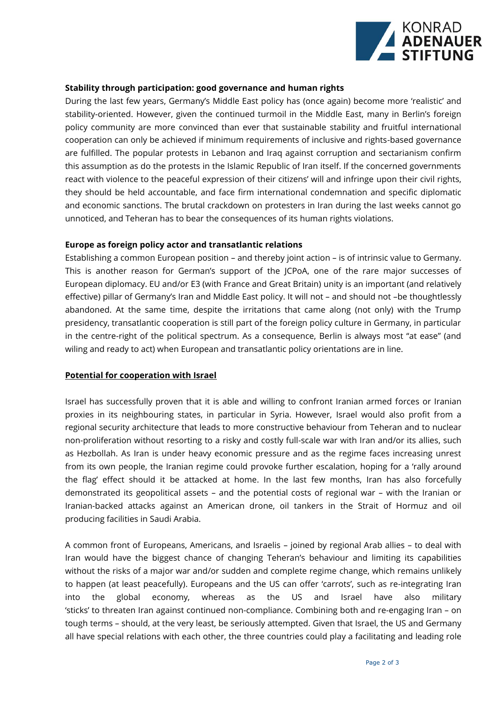

### **Stability through participation: good governance and human rights**

During the last few years, Germany's Middle East policy has (once again) become more 'realistic' and stability-oriented. However, given the continued turmoil in the Middle East, many in Berlin's foreign policy community are more convinced than ever that sustainable stability and fruitful international cooperation can only be achieved if minimum requirements of inclusive and rights-based governance are fulfilled. The popular protests in Lebanon and Iraq against corruption and sectarianism confirm this assumption as do the protests in the Islamic Republic of Iran itself. If the concerned governments react with violence to the peaceful expression of their citizens' will and infringe upon their civil rights, they should be held accountable, and face firm international condemnation and specific diplomatic and economic sanctions. The brutal crackdown on protesters in Iran during the last weeks cannot go unnoticed, and Teheran has to bear the consequences of its human rights violations.

#### **Europe as foreign policy actor and transatlantic relations**

Establishing a common European position – and thereby joint action – is of intrinsic value to Germany. This is another reason for German's support of the JCPoA, one of the rare major successes of European diplomacy. EU and/or E3 (with France and Great Britain) unity is an important (and relatively effective) pillar of Germany's Iran and Middle East policy. It will not – and should not –be thoughtlessly abandoned. At the same time, despite the irritations that came along (not only) with the Trump presidency, transatlantic cooperation is still part of the foreign policy culture in Germany, in particular in the centre-right of the political spectrum. As a consequence, Berlin is always most "at ease" (and wiling and ready to act) when European and transatlantic policy orientations are in line.

#### **Potential for cooperation with Israel**

Israel has successfully proven that it is able and willing to confront Iranian armed forces or Iranian proxies in its neighbouring states, in particular in Syria. However, Israel would also profit from a regional security architecture that leads to more constructive behaviour from Teheran and to nuclear non-proliferation without resorting to a risky and costly full-scale war with Iran and/or its allies, such as Hezbollah. As Iran is under heavy economic pressure and as the regime faces increasing unrest from its own people, the Iranian regime could provoke further escalation, hoping for a 'rally around the flag' effect should it be attacked at home. In the last few months, Iran has also forcefully demonstrated its geopolitical assets – and the potential costs of regional war – with the Iranian or Iranian-backed attacks against an American drone, oil tankers in the Strait of Hormuz and oil producing facilities in Saudi Arabia.

A common front of Europeans, Americans, and Israelis – joined by regional Arab allies – to deal with Iran would have the biggest chance of changing Teheran's behaviour and limiting its capabilities without the risks of a major war and/or sudden and complete regime change, which remains unlikely to happen (at least peacefully). Europeans and the US can offer 'carrots', such as re-integrating Iran into the global economy, whereas as the US and Israel have also military 'sticks' to threaten Iran against continued non-compliance. Combining both and re-engaging Iran – on tough terms – should, at the very least, be seriously attempted. Given that Israel, the US and Germany all have special relations with each other, the three countries could play a facilitating and leading role